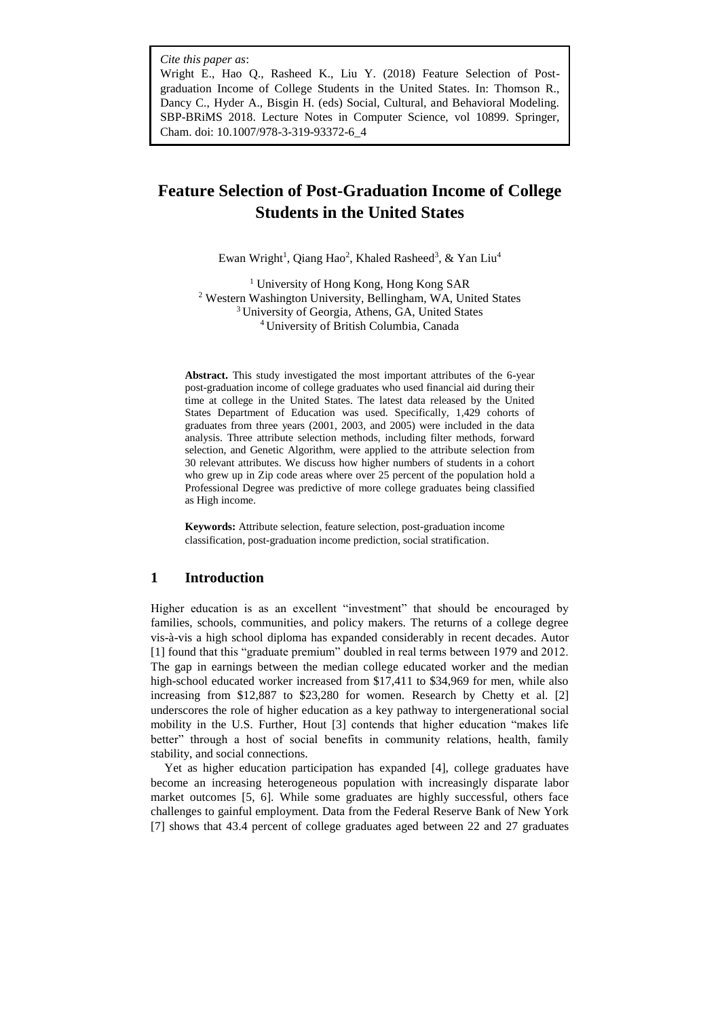*Cite this paper as*:

Wright E., Hao Q., Rasheed K., Liu Y. (2018) Feature Selection of Postgraduation Income of College Students in the United States. In: Thomson R., Dancy C., Hyder A., Bisgin H. (eds) Social, Cultural, and Behavioral Modeling. SBP-BRiMS 2018. Lecture Notes in Computer Science, vol 10899. Springer, Cham. doi: 10.1007/978-3-319-93372-6\_4

# **Feature Selection of Post-Graduation Income of College Students in the United States**

Ewan Wright<sup>1</sup>, Qiang Hao<sup>2</sup>, Khaled Rasheed<sup>3</sup>, & Yan Liu<sup>4</sup>

 University of Hong Kong, Hong Kong SAR Western Washington University, Bellingham, WA, United States <sup>3</sup> University of Georgia, Athens, GA, United States University of British Columbia, Canada

**Abstract.** This study investigated the most important attributes of the 6-year post-graduation income of college graduates who used financial aid during their time at college in the United States. The latest data released by the United States Department of Education was used. Specifically, 1,429 cohorts of graduates from three years (2001, 2003, and 2005) were included in the data analysis. Three attribute selection methods, including filter methods, forward selection, and Genetic Algorithm, were applied to the attribute selection from 30 relevant attributes. We discuss how higher numbers of students in a cohort who grew up in Zip code areas where over 25 percent of the population hold a Professional Degree was predictive of more college graduates being classified as High income.

**Keywords:** Attribute selection, feature selection, post-graduation income classification, post-graduation income prediction, social stratification.

## **1 Introduction**

Higher education is as an excellent "investment" that should be encouraged by families, schools, communities, and policy makers. The returns of a college degree vis-à-vis a high school diploma has expanded considerably in recent decades. Autor [1] found that this "graduate premium" doubled in real terms between 1979 and 2012. The gap in earnings between the median college educated worker and the median high-school educated worker increased from \$17,411 to \$34,969 for men, while also increasing from \$12,887 to \$23,280 for women. Research by Chetty et al. [2] underscores the role of higher education as a key pathway to intergenerational social mobility in the U.S. Further, Hout [3] contends that higher education "makes life better" through a host of social benefits in community relations, health, family stability, and social connections.

Yet as higher education participation has expanded [4], college graduates have become an increasing heterogeneous population with increasingly disparate labor market outcomes [5, 6]. While some graduates are highly successful, others face challenges to gainful employment. Data from the Federal Reserve Bank of New York [7] shows that 43.4 percent of college graduates aged between 22 and 27 graduates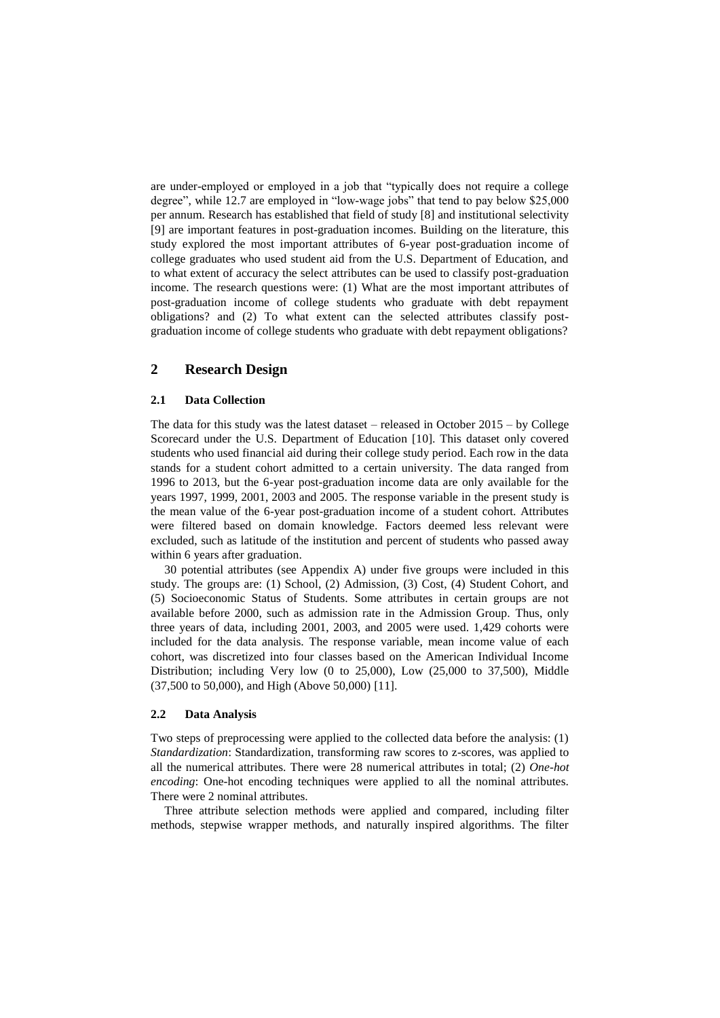are under-employed or employed in a job that "typically does not require a college degree", while 12.7 are employed in "low-wage jobs" that tend to pay below \$25,000 per annum. Research has established that field of study [8] and institutional selectivity [9] are important features in post-graduation incomes. Building on the literature, this study explored the most important attributes of 6-year post-graduation income of college graduates who used student aid from the U.S. Department of Education, and to what extent of accuracy the select attributes can be used to classify post-graduation income. The research questions were: (1) What are the most important attributes of post-graduation income of college students who graduate with debt repayment obligations? and (2) To what extent can the selected attributes classify postgraduation income of college students who graduate with debt repayment obligations?

## **2 Research Design**

#### **2.1 Data Collection**

The data for this study was the latest dataset – released in October 2015 – by College Scorecard under the U.S. Department of Education [10]. This dataset only covered students who used financial aid during their college study period. Each row in the data stands for a student cohort admitted to a certain university. The data ranged from 1996 to 2013, but the 6-year post-graduation income data are only available for the years 1997, 1999, 2001, 2003 and 2005. The response variable in the present study is the mean value of the 6-year post-graduation income of a student cohort. Attributes were filtered based on domain knowledge. Factors deemed less relevant were excluded, such as latitude of the institution and percent of students who passed away within 6 years after graduation.

30 potential attributes (see Appendix A) under five groups were included in this study. The groups are: (1) School, (2) Admission, (3) Cost, (4) Student Cohort, and (5) Socioeconomic Status of Students. Some attributes in certain groups are not available before 2000, such as admission rate in the Admission Group. Thus, only three years of data, including 2001, 2003, and 2005 were used. 1,429 cohorts were included for the data analysis. The response variable, mean income value of each cohort, was discretized into four classes based on the American Individual Income Distribution; including Very low (0 to 25,000), Low (25,000 to 37,500), Middle (37,500 to 50,000), and High (Above 50,000) [11].

#### **2.2 Data Analysis**

Two steps of preprocessing were applied to the collected data before the analysis: (1) *Standardization*: Standardization, transforming raw scores to z-scores, was applied to all the numerical attributes. There were 28 numerical attributes in total; (2) *One-hot encoding*: One-hot encoding techniques were applied to all the nominal attributes. There were 2 nominal attributes.

Three attribute selection methods were applied and compared, including filter methods, stepwise wrapper methods, and naturally inspired algorithms. The filter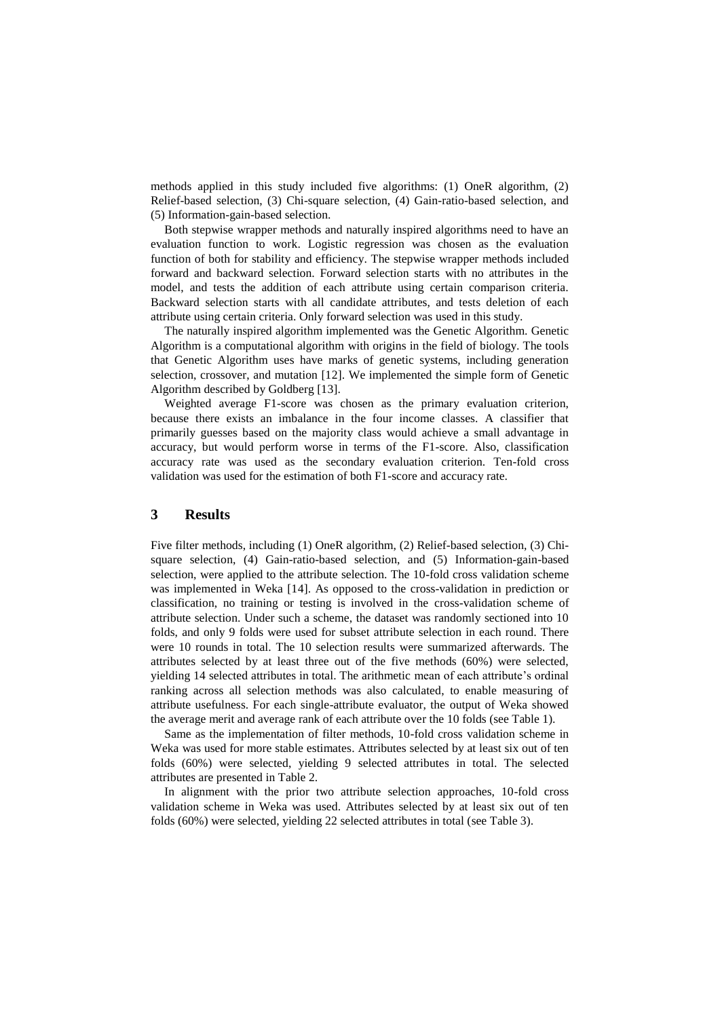methods applied in this study included five algorithms: (1) OneR algorithm, (2) Relief-based selection, (3) Chi-square selection, (4) Gain-ratio-based selection, and (5) Information-gain-based selection.

Both stepwise wrapper methods and naturally inspired algorithms need to have an evaluation function to work. Logistic regression was chosen as the evaluation function of both for stability and efficiency. The stepwise wrapper methods included forward and backward selection. Forward selection starts with no attributes in the model, and tests the addition of each attribute using certain comparison criteria. Backward selection starts with all candidate attributes, and tests deletion of each attribute using certain criteria. Only forward selection was used in this study.

The naturally inspired algorithm implemented was the Genetic Algorithm. Genetic Algorithm is a computational algorithm with origins in the field of biology. The tools that Genetic Algorithm uses have marks of genetic systems, including generation selection, crossover, and mutation [12]. We implemented the simple form of Genetic Algorithm described by Goldberg [13].

Weighted average F1-score was chosen as the primary evaluation criterion, because there exists an imbalance in the four income classes. A classifier that primarily guesses based on the majority class would achieve a small advantage in accuracy, but would perform worse in terms of the F1-score. Also, classification accuracy rate was used as the secondary evaluation criterion. Ten-fold cross validation was used for the estimation of both F1-score and accuracy rate.

## **3 Results**

Five filter methods, including (1) OneR algorithm, (2) Relief-based selection, (3) Chisquare selection, (4) Gain-ratio-based selection, and (5) Information-gain-based selection, were applied to the attribute selection. The 10-fold cross validation scheme was implemented in Weka [14]. As opposed to the cross-validation in prediction or classification, no training or testing is involved in the cross-validation scheme of attribute selection. Under such a scheme, the dataset was randomly sectioned into 10 folds, and only 9 folds were used for subset attribute selection in each round. There were 10 rounds in total. The 10 selection results were summarized afterwards. The attributes selected by at least three out of the five methods (60%) were selected, yielding 14 selected attributes in total. The arithmetic mean of each attribute's ordinal ranking across all selection methods was also calculated, to enable measuring of attribute usefulness. For each single-attribute evaluator, the output of Weka showed the average merit and average rank of each attribute over the 10 folds (see Table 1).

Same as the implementation of filter methods, 10-fold cross validation scheme in Weka was used for more stable estimates. Attributes selected by at least six out of ten folds (60%) were selected, yielding 9 selected attributes in total. The selected attributes are presented in Table 2.

In alignment with the prior two attribute selection approaches, 10-fold cross validation scheme in Weka was used. Attributes selected by at least six out of ten folds (60%) were selected, yielding 22 selected attributes in total (see Table 3).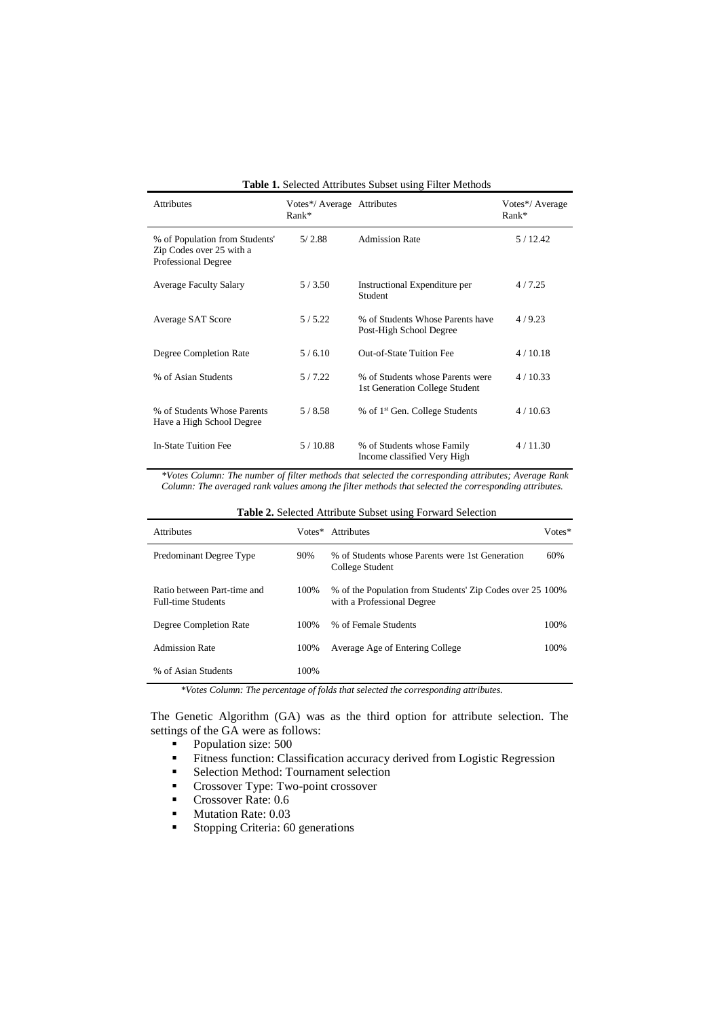| <b>Table 1.</b> Selected Attributes Subset using Filter Methods                   |                                       |                                                                    |                            |  |
|-----------------------------------------------------------------------------------|---------------------------------------|--------------------------------------------------------------------|----------------------------|--|
| <b>Attributes</b>                                                                 | Votes*/ Average Attributes<br>$Rank*$ |                                                                    | Votes*/ Average<br>$Rank*$ |  |
| % of Population from Students'<br>Zip Codes over 25 with a<br>Professional Degree | 5/2.88                                | <b>Admission Rate</b>                                              | 5/12.42                    |  |
| <b>Average Faculty Salary</b>                                                     | 5/3.50                                | Instructional Expenditure per<br>Student                           | 4/7.25                     |  |
| Average SAT Score                                                                 | 5/5.22                                | % of Students Whose Parents have<br>Post-High School Degree        | 4/9.23                     |  |
| Degree Completion Rate                                                            | 5/6.10                                | <b>Out-of-State Tuition Fee</b>                                    | 4/10.18                    |  |
| % of Asian Students                                                               | 5/7.22                                | % of Students whose Parents were<br>1st Generation College Student | 4/10.33                    |  |
| % of Students Whose Parents<br>Have a High School Degree                          | 5/8.58                                | % of 1 <sup>st</sup> Gen. College Students                         | 4/10.63                    |  |
| <b>In-State Tuition Fee</b>                                                       | 5/10.88                               | % of Students whose Family<br>Income classified Very High          | 4/11.30                    |  |

*\*Votes Column: The number of filter methods that selected the corresponding attributes; Average Rank Column: The averaged rank values among the filter methods that selected the corresponding attributes.*

| <b>Table 2.</b> Selected Attribute Subset using Forward Selection |        |                                                                                         |        |  |
|-------------------------------------------------------------------|--------|-----------------------------------------------------------------------------------------|--------|--|
| <b>Attributes</b>                                                 | Votes* | Attributes                                                                              | Votes* |  |
| Predominant Degree Type                                           | 90%    | % of Students whose Parents were 1st Generation<br>College Student                      | 60%    |  |
| Ratio between Part-time and<br><b>Full-time Students</b>          | 100%   | % of the Population from Students' Zip Codes over 25 100%<br>with a Professional Degree |        |  |
| Degree Completion Rate                                            | 100%   | % of Female Students                                                                    | 100%   |  |
| Admission Rate                                                    | 100%   | Average Age of Entering College                                                         | 100%   |  |
| % of Asian Students                                               | 100%   |                                                                                         |        |  |

*\*Votes Column: The percentage of folds that selected the corresponding attributes.*

The Genetic Algorithm (GA) was as the third option for attribute selection. The settings of the GA were as follows:

- Population size: 500
- **Exercise Fitness function: Classification accuracy derived from Logistic Regression**
- Selection Method: Tournament selection
- Crossover Type: Two-point crossover
- Crossover Rate: 0.6
- Mutation Rate: 0.03
- Stopping Criteria: 60 generations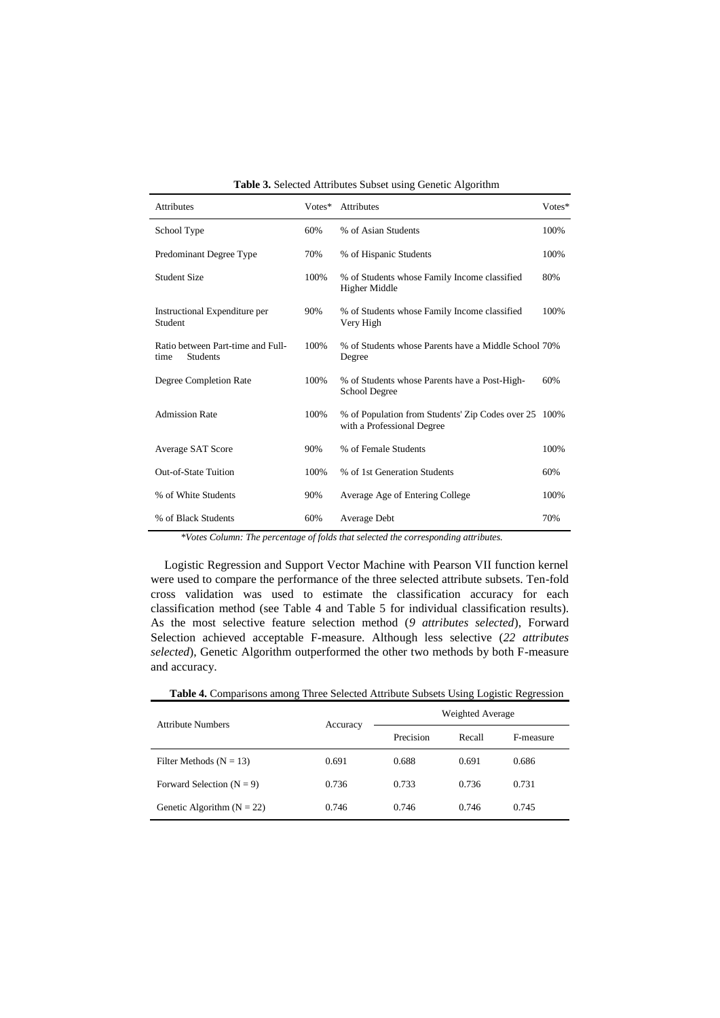| <b>Attributes</b>                                     | Votes* | <b>Attributes</b>                                                                   | Votes* |
|-------------------------------------------------------|--------|-------------------------------------------------------------------------------------|--------|
| School Type                                           | 60%    | % of Asian Students                                                                 | 100%   |
| Predominant Degree Type                               | 70%    | % of Hispanic Students                                                              | 100%   |
| <b>Student Size</b>                                   | 100%   | % of Students whose Family Income classified<br>Higher Middle                       | 80%    |
| Instructional Expenditure per<br>Student              | 90%    | % of Students whose Family Income classified<br>Very High                           | 100%   |
| Ratio between Part-time and Full-<br>Students<br>time | 100%   | % of Students whose Parents have a Middle School 70%<br>Degree                      |        |
| Degree Completion Rate                                | 100%   | % of Students whose Parents have a Post-High-<br>School Degree                      | 60%    |
| <b>Admission Rate</b>                                 | 100%   | % of Population from Students' Zip Codes over 25 100%<br>with a Professional Degree |        |
| Average SAT Score                                     | 90%    | % of Female Students                                                                | 100%   |
| <b>Out-of-State Tuition</b>                           | 100%   | % of 1st Generation Students                                                        | 60%    |
| % of White Students                                   | 90%    | Average Age of Entering College                                                     | 100%   |
| % of Black Students                                   | 60%    | Average Debt                                                                        | 70%    |

*\*Votes Column: The percentage of folds that selected the corresponding attributes.*

Logistic Regression and Support Vector Machine with Pearson VII function kernel were used to compare the performance of the three selected attribute subsets. Ten-fold cross validation was used to estimate the classification accuracy for each classification method (see Table 4 and Table 5 for individual classification results). As the most selective feature selection method (*9 attributes selected*), Forward Selection achieved acceptable F-measure. Although less selective (*22 attributes selected*), Genetic Algorithm outperformed the other two methods by both F-measure and accuracy.

| <b>Attribute Numbers</b>       | Accuracy | Weighted Average |        |           |
|--------------------------------|----------|------------------|--------|-----------|
|                                |          | Precision        | Recall | F-measure |
| Filter Methods ( $N = 13$ )    | 0.691    | 0.688            | 0.691  | 0.686     |
| Forward Selection ( $N = 9$ )  | 0.736    | 0.733            | 0.736  | 0.731     |
| Genetic Algorithm ( $N = 22$ ) | 0.746    | 0.746            | 0.746  | 0.745     |

**Table 4.** Comparisons among Three Selected Attribute Subsets Using Logistic Regression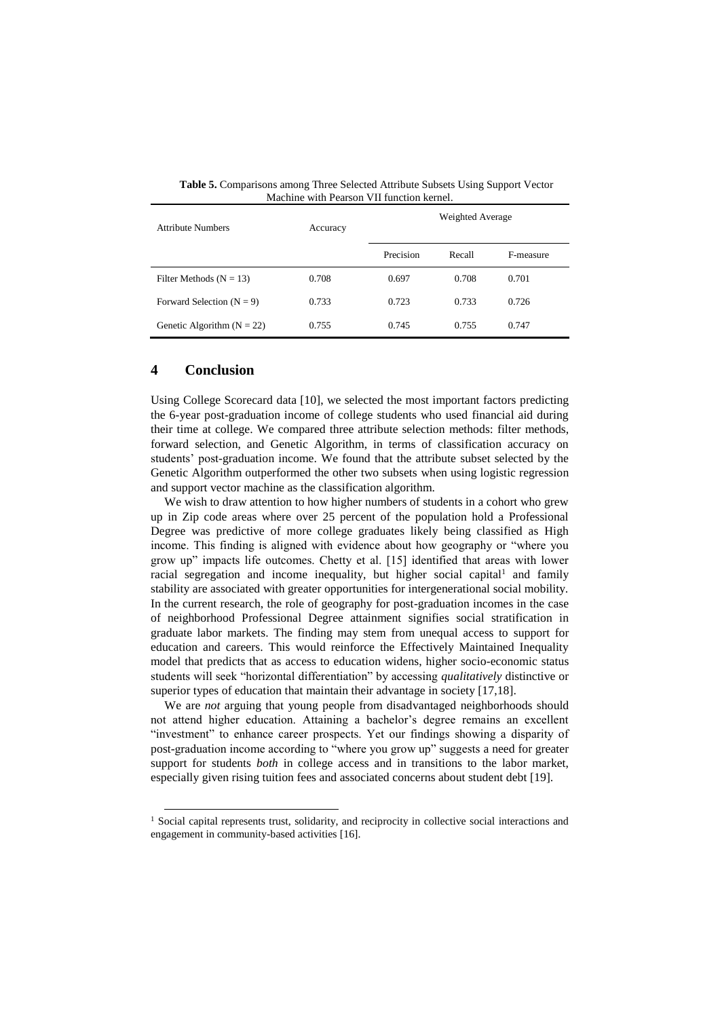| <b>Attribute Numbers</b>       | Accuracy | Triachine with I carson vill hunchon Kerner.<br>Weighted Average |        |           |
|--------------------------------|----------|------------------------------------------------------------------|--------|-----------|
|                                |          | Precision                                                        | Recall | F-measure |
| Filter Methods ( $N = 13$ )    | 0.708    | 0.697                                                            | 0.708  | 0.701     |
| Forward Selection ( $N = 9$ )  | 0.733    | 0.723                                                            | 0.733  | 0.726     |
| Genetic Algorithm ( $N = 22$ ) | 0.755    | 0.745                                                            | 0.755  | 0.747     |

**Table 5.** Comparisons among Three Selected Attribute Subsets Using Support Vector Machine with Pearson VII function kernel.

## **4 Conclusion**

-

Using College Scorecard data [10], we selected the most important factors predicting the 6-year post-graduation income of college students who used financial aid during their time at college. We compared three attribute selection methods: filter methods, forward selection, and Genetic Algorithm, in terms of classification accuracy on students' post-graduation income. We found that the attribute subset selected by the Genetic Algorithm outperformed the other two subsets when using logistic regression and support vector machine as the classification algorithm.

We wish to draw attention to how higher numbers of students in a cohort who grew up in Zip code areas where over 25 percent of the population hold a Professional Degree was predictive of more college graduates likely being classified as High income. This finding is aligned with evidence about how geography or "where you grow up" impacts life outcomes. Chetty et al. [15] identified that areas with lower racial segregation and income inequality, but higher social capital<sup>1</sup> and family stability are associated with greater opportunities for intergenerational social mobility. In the current research, the role of geography for post-graduation incomes in the case of neighborhood Professional Degree attainment signifies social stratification in graduate labor markets. The finding may stem from unequal access to support for education and careers. This would reinforce the Effectively Maintained Inequality model that predicts that as access to education widens, higher socio-economic status students will seek "horizontal differentiation" by accessing *qualitatively* distinctive or superior types of education that maintain their advantage in society [17,18].

We are *not* arguing that young people from disadvantaged neighborhoods should not attend higher education. Attaining a bachelor's degree remains an excellent "investment" to enhance career prospects. Yet our findings showing a disparity of post-graduation income according to "where you grow up" suggests a need for greater support for students *both* in college access and in transitions to the labor market, especially given rising tuition fees and associated concerns about student debt [19].

 $<sup>1</sup>$  Social capital represents trust, solidarity, and reciprocity in collective social interactions and</sup> engagement in community-based activities [16].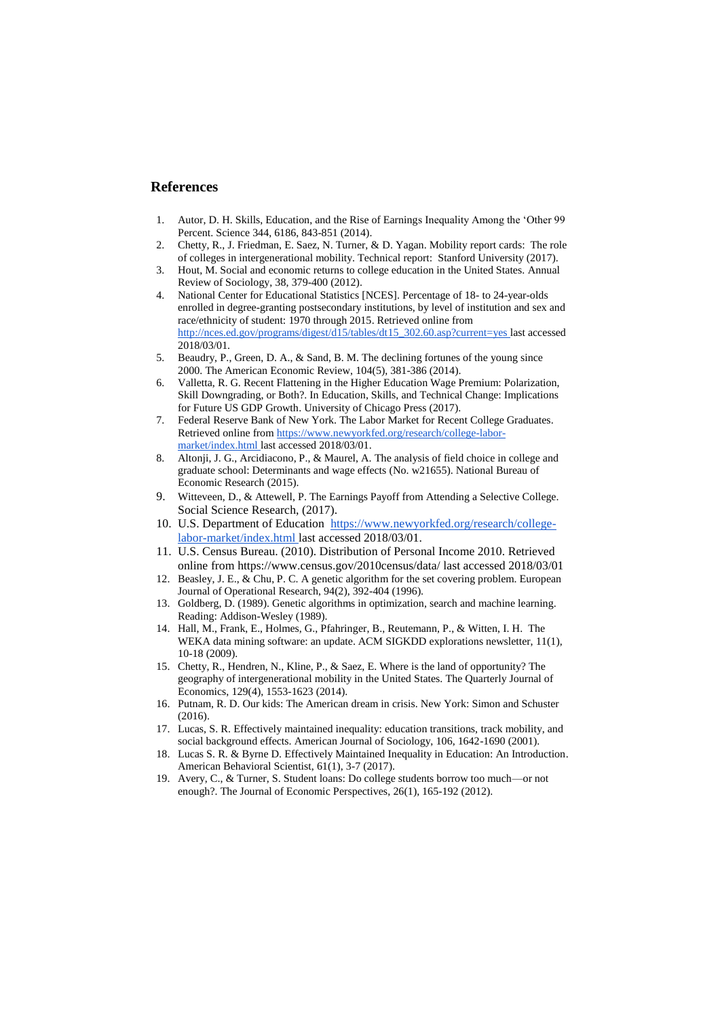#### **References**

- 1. Autor, D. H. Skills, Education, and the Rise of Earnings Inequality Among the 'Other 99 Percent. Science 344, 6186, 843-851 (2014).
- 2. Chetty, R., J. Friedman, E. Saez, N. Turner, & D. Yagan. Mobility report cards: The role of colleges in intergenerational mobility. Technical report: Stanford University (2017).
- 3. Hout, M. Social and economic returns to college education in the United States. Annual Review of Sociology, 38, 379-400 (2012).
- 4. National Center for Educational Statistics [NCES]. Percentage of 18- to 24-year-olds enrolled in degree-granting postsecondary institutions, by level of institution and sex and race/ethnicity of student: 1970 through 2015. Retrieved online fro[m](http://nces.ed.gov/programs/digest/d15/tables/dt15_302.60.asp?current=yes) [http://nces.ed.gov/programs/digest/d15/tables/dt15\\_302.60.asp?current=yes](http://nces.ed.gov/programs/digest/d15/tables/dt15_302.60.asp?current=yes) last accessed 2018/03/01.
- 5. Beaudry, P., Green, D. A., & Sand, B. M. The declining fortunes of the young since 2000. The American Economic Review, 104(5), 381-386 (2014).
- 6. Valletta, R. G. Recent Flattening in the Higher Education Wage Premium: Polarization, Skill Downgrading, or Both?. In Education, Skills, and Technical Change: Implications for Future US GDP Growth. University of Chicago Press (2017).
- 7. Federal Reserve Bank of New York. The Labor Market for Recent College Graduates. Retrieved online from [https://www.newyorkfed.org/research/college-labor](https://www.newyorkfed.org/research/college-labor-market/index.html)[market/index.html](https://www.newyorkfed.org/research/college-labor-market/index.html) last accessed 2018/03/01.
- 8. Altonji, J. G., Arcidiacono, P., & Maurel, A. The analysis of field choice in college and graduate school: Determinants and wage effects (No. w21655). National Bureau of Economic Research (2015).
- 9. Witteveen, D., & Attewell, P. The Earnings Payoff from Attending a Selective College. Social Science Research, (2017).
- 10. U.S. Department of Education [https://www.newyorkfed.org/research/college](https://www.newyorkfed.org/research/college-labor-market/index.html)[labor-market/index.html](https://www.newyorkfed.org/research/college-labor-market/index.html) last accessed 2018/03/01.
- 11. U.S. Census Bureau. (2010). Distribution of Personal Income 2010. Retrieved online fro[m https://www.census.gov/2010census/data/](https://www.census.gov/2010census/data/) last accessed 2018/03/01
- 12. Beasley, J. E., & Chu, P. C. A genetic algorithm for the set covering problem. European Journal of Operational Research, 94(2), 392-404 (1996).
- 13. Goldberg, D. (1989). Genetic algorithms in optimization, search and machine learning. Reading: Addison-Wesley (1989).
- 14. Hall, M., Frank, E., Holmes, G., Pfahringer, B., Reutemann, P., & Witten, I. H. The WEKA data mining software: an update. ACM SIGKDD explorations newsletter, 11(1), 10-18 (2009).
- 15. Chetty, R., Hendren, N., Kline, P., & Saez, E. Where is the land of opportunity? The geography of intergenerational mobility in the United States. The Quarterly Journal of Economics, 129(4), 1553-1623 (2014).
- 16. Putnam, R. D. Our kids: The American dream in crisis. New York: Simon and Schuster (2016).
- 17. Lucas, S. R. Effectively maintained inequality: education transitions, track mobility, and social background effects. American Journal of Sociology, 106, 1642-1690 (2001).
- 18. Lucas S. R. & Byrne D. Effectively Maintained Inequality in Education: An Introduction. American Behavioral Scientist, 61(1), 3-7 (2017).
- 19. Avery, C., & Turner, S. Student loans: Do college students borrow too much—or not enough?. The Journal of Economic Perspectives, 26(1), 165-192 (2012).